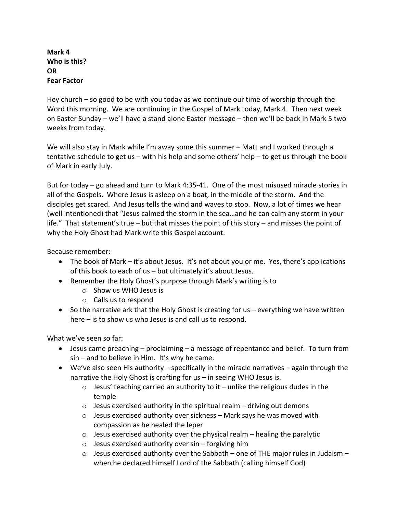**Mark 4 Who is this? OR Fear Factor**

Hey church – so good to be with you today as we continue our time of worship through the Word this morning. We are continuing in the Gospel of Mark today, Mark 4. Then next week on Easter Sunday – we'll have a stand alone Easter message – then we'll be back in Mark 5 two weeks from today.

We will also stay in Mark while I'm away some this summer – Matt and I worked through a tentative schedule to get us – with his help and some others' help – to get us through the book of Mark in early July.

But for today – go ahead and turn to Mark 4:35-41. One of the most misused miracle stories in all of the Gospels. Where Jesus is asleep on a boat, in the middle of the storm. And the disciples get scared. And Jesus tells the wind and waves to stop. Now, a lot of times we hear (well intentioned) that "Jesus calmed the storm in the sea…and he can calm any storm in your life." That statement's true – but that misses the point of this story – and misses the point of why the Holy Ghost had Mark write this Gospel account.

Because remember:

- The book of Mark it's about Jesus. It's not about you or me. Yes, there's applications of this book to each of us – but ultimately it's about Jesus.
- Remember the Holy Ghost's purpose through Mark's writing is to
	- o Show us WHO Jesus is
	- o Calls us to respond
- So the narrative ark that the Holy Ghost is creating for us everything we have written here – is to show us who Jesus is and call us to respond.

What we've seen so far:

- Jesus came preaching proclaiming a message of repentance and belief. To turn from  $sin -$  and to believe in Him. It's why he came.
- We've also seen His authority specifically in the miracle narratives again through the narrative the Holy Ghost is crafting for us – in seeing WHO Jesus is.
	- $\circ$  Jesus' teaching carried an authority to it unlike the religious dudes in the temple
	- $\circ$  Jesus exercised authority in the spiritual realm driving out demons
	- $\circ$  Jesus exercised authority over sickness Mark says he was moved with compassion as he healed the leper
	- $\circ$  Jesus exercised authority over the physical realm healing the paralytic
	- $\circ$  Jesus exercised authority over sin forgiving him
	- $\circ$  Jesus exercised authority over the Sabbath one of THE major rules in Judaism when he declared himself Lord of the Sabbath (calling himself God)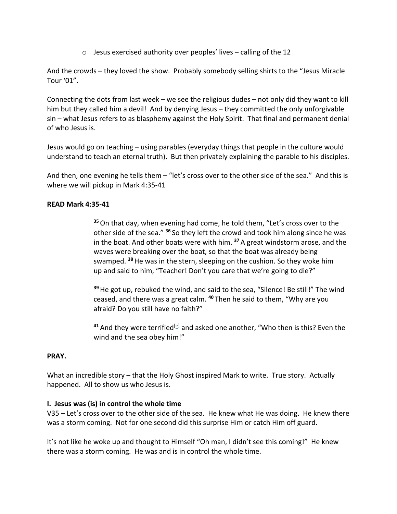$\circ$  Jesus exercised authority over peoples' lives – calling of the 12

And the crowds – they loved the show. Probably somebody selling shirts to the "Jesus Miracle Tour '01".

Connecting the dots from last week – we see the religious dudes – not only did they want to kill him but they called him a devil! And by denying Jesus - they committed the only unforgivable sin – what Jesus refers to as blasphemy against the Holy Spirit. That final and permanent denial of who Jesus is.

Jesus would go on teaching – using parables (everyday things that people in the culture would understand to teach an eternal truth). But then privately explaining the parable to his disciples.

And then, one evening he tells them – "let's cross over to the other side of the sea." And this is where we will pickup in Mark 4:35-41

# **READ Mark 4:35-41**

**<sup>35</sup>**On that day, when evening had come, he told them, "Let's cross over to the other side of the sea." **<sup>36</sup>** So they left the crowd and took him along since he was in the boat. And other boats were with him. **<sup>37</sup>** A great windstorm arose, and the waves were breaking over the boat, so that the boat was already being swamped. **<sup>38</sup>**He was in the stern, sleeping on the cushion. So they woke him up and said to him, "Teacher! Don't you care that we're going to die?"

**<sup>39</sup>**He got up, rebuked the wind, and said to the sea, "Silence! Be still!" The wind ceased, and there was a great calm. **<sup>40</sup>** Then he said to them, "Why are you afraid? Do you still have no faith?"

<sup>41</sup> And they were terrified<sup>[e]</sup> and asked one another, "Who then is this? Even the wind and the sea obey him!"

### **PRAY.**

What an incredible story – that the Holy Ghost inspired Mark to write. True story. Actually happened. All to show us who Jesus is.

### **I. Jesus was (is) in control the whole time**

V35 – Let's cross over to the other side of the sea. He knew what He was doing. He knew there was a storm coming. Not for one second did this surprise Him or catch Him off guard.

It's not like he woke up and thought to Himself "Oh man, I didn't see this coming!" He knew there was a storm coming. He was and is in control the whole time.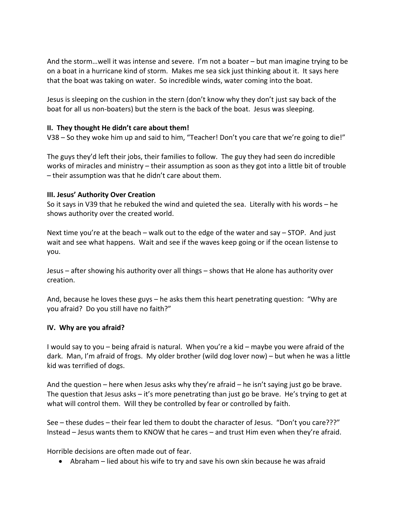And the storm…well it was intense and severe. I'm not a boater – but man imagine trying to be on a boat in a hurricane kind of storm. Makes me sea sick just thinking about it. It says here that the boat was taking on water. So incredible winds, water coming into the boat.

Jesus is sleeping on the cushion in the stern (don't know why they don't just say back of the boat for all us non-boaters) but the stern is the back of the boat. Jesus was sleeping.

### **II. They thought He didn't care about them!**

V38 – So they woke him up and said to him, "Teacher! Don't you care that we're going to die!"

The guys they'd left their jobs, their families to follow. The guy they had seen do incredible works of miracles and ministry – their assumption as soon as they got into a little bit of trouble – their assumption was that he didn't care about them.

### **III. Jesus' Authority Over Creation**

So it says in V39 that he rebuked the wind and quieted the sea. Literally with his words – he shows authority over the created world.

Next time you're at the beach – walk out to the edge of the water and say – STOP. And just wait and see what happens. Wait and see if the waves keep going or if the ocean listense to you.

Jesus – after showing his authority over all things – shows that He alone has authority over creation.

And, because he loves these guys – he asks them this heart penetrating question: "Why are you afraid? Do you still have no faith?"

### **IV. Why are you afraid?**

I would say to you – being afraid is natural. When you're a kid – maybe you were afraid of the dark. Man, I'm afraid of frogs. My older brother (wild dog lover now) – but when he was a little kid was terrified of dogs.

And the question – here when Jesus asks why they're afraid – he isn't saying just go be brave. The question that Jesus asks – it's more penetrating than just go be brave. He's trying to get at what will control them. Will they be controlled by fear or controlled by faith.

See – these dudes – their fear led them to doubt the character of Jesus. "Don't you care???" Instead – Jesus wants them to KNOW that he cares – and trust Him even when they're afraid.

Horrible decisions are often made out of fear.

• Abraham – lied about his wife to try and save his own skin because he was afraid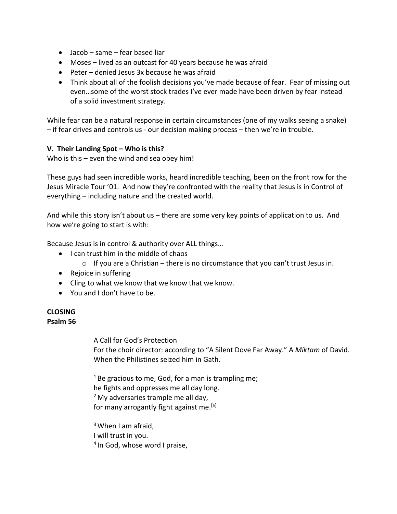- Jacob same fear based liar
- Moses lived as an outcast for 40 years because he was afraid
- Peter denied Jesus 3x because he was afraid
- Think about all of the foolish decisions you've made because of fear. Fear of missing out even…some of the worst stock trades I've ever made have been driven by fear instead of a solid investment strategy.

While fear can be a natural response in certain circumstances (one of my walks seeing a snake) – if fear drives and controls us - our decision making process – then we're in trouble.

# **V. Their Landing Spot – Who is this?**

Who is this – even the wind and sea obey him!

These guys had seen incredible works, heard incredible teaching, been on the front row for the Jesus Miracle Tour '01. And now they're confronted with the reality that Jesus is in Control of everything – including nature and the created world.

And while this story isn't about us – there are some very key points of application to us. And how we're going to start is with:

Because Jesus is in control & authority over ALL things…

- I can trust him in the middle of chaos
	- $\circ$  If you are a Christian there is no circumstance that you can't trust Jesus in.
- Rejoice in suffering
- Cling to what we know that we know that we know.
- You and I don't have to be.

### **CLOSING Psalm 56**

A Call for God's Protection For the choir director: according to "A Silent Dove Far Away." A *Miktam* of David. When the Philistines seized him in Gath.

 $1$  Be gracious to me, God, for a man is trampling me; he fights and oppresses me all day long.  $<sup>2</sup>$  My adversaries trample me all day,</sup> for many arrogantly fight against me.  $[$ al

 $3$  When I am afraid, I will trust in you. <sup>4</sup> In God, whose word I praise,